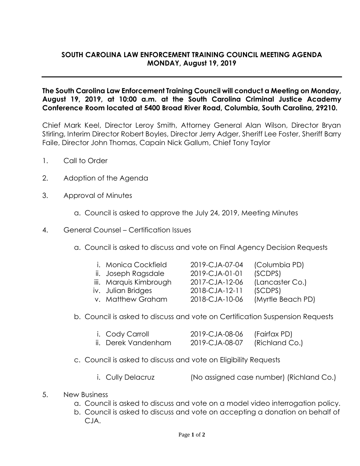## **SOUTH CAROLINA LAW ENFORCEMENT TRAINING COUNCIL MEETING AGENDA MONDAY, August 19, 2019**

## **The South Carolina Law Enforcement Training Council will conduct a Meeting on Monday, August 19, 2019, at 10:00 a.m. at the South Carolina Criminal Justice Academy Conference Room located at 5400 Broad River Road, Columbia, South Carolina, 29210.**

Chief Mark Keel, Director Leroy Smith, Attorney General Alan Wilson, Director Bryan Stirling, Interim Director Robert Boyles, Director Jerry Adger, Sheriff Lee Foster, Sheriff Barry Faile, Director John Thomas, Capain Nick Gallum, Chief Tony Taylor

- 1. Call to Order
- 2. Adoption of the Agenda
- 3. Approval of Minutes
	- a. Council is asked to approve the July 24, 2019, Meeting Minutes
- 4. General Counsel Certification Issues
	- a. Council is asked to discuss and vote on Final Agency Decision Requests
		- i. Monica Cockfield 2019-CJA-07-04 (Columbia PD)
		- ii. Joseph Ragsdale 2019-CJA-01-01 (SCDPS)
		- iii. Marquis Kimbrough 2017-CJA-12-06 (Lancaster Co.)
		-
		- v. Matthew Graham 2018-CJA-10-06 (Myrtle Beach PD)

iv. Julian Bridges 2018-CJA-12-11 (SCDPS)

- b. Council is asked to discuss and vote on Certification Suspension Requests
	- i. Cody Carroll 2019-CJA-08-06 (Fairfax PD) ii. Derek Vandenham 2019-CJA-08-07 (Richland Co.)
- c. Council is asked to discuss and vote on Eligibility Requests
	- i. Cully Delacruz (No assigned case number) (Richland Co.)
- 5. New Business
	- a. Council is asked to discuss and vote on a model video interrogation policy.
	- b. Council is asked to discuss and vote on accepting a donation on behalf of CJA.